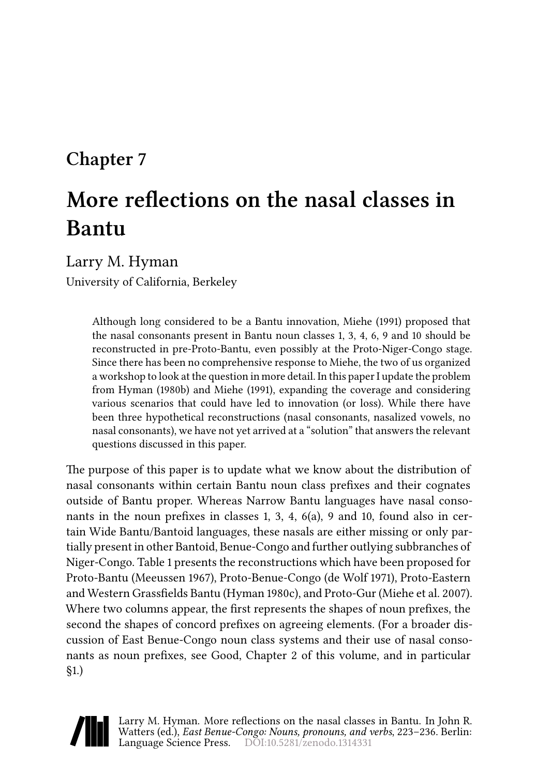## **Chapter 7**

# **More reflections on the nasal classes in Bantu**

Larry M. Hyman

University of California, Berkeley

Although long considered to be a Bantu innovation, [Miehe \(1991\)](#page-12-0) proposed that the nasal consonants present in Bantu noun classes 1, 3, 4, 6, 9 and 10 should be reconstructed in pre-Proto-Bantu, even possibly at the Proto-Niger-Congo stage. Since there has been no comprehensive response to Miehe, the two of us organized a workshop to look at the question in more detail. In this paper I update the problem from [Hyman \(1980b\)](#page-12-1) and [Miehe \(1991\)](#page-12-0), expanding the coverage and considering various scenarios that could have led to innovation (or loss). While there have been three hypothetical reconstructions (nasal consonants, nasalized vowels, no nasal consonants), we have not yet arrived at a "solution" that answers the relevant questions discussed in this paper.

The purpose of this paper is to update what we know about the distribution of nasal consonants within certain Bantu noun class prefixes and their cognates outside of Bantu proper. Whereas Narrow Bantu languages have nasal consonants in the noun prefixes in classes 1, 3, 4, 6(a), 9 and 10, found also in certain Wide Bantu/Bantoid languages, these nasals are either missing or only partially present in other Bantoid, Benue-Congo and further outlying subbranches of Niger-Congo. Table [1](#page-1-0) presents the reconstructions which have been proposed for Proto-Bantu([Meeussen 1967](#page-12-2)), Proto-Benue-Congo [\(de Wolf 1971\)](#page-11-0), Proto-Eastern and Western Grassfields Bantu([Hyman 1980c](#page-12-3)), and Proto-Gur (Miehe et al. 2007). Where two columns appear, the first represents the shapes of noun prefixes, the second the shapes of concord prefixes on agreeing elements. (For a broader discussion of East Benue-Congo noun class systems and their use of nasal consonants as noun prefixes, see Good, Chapter 2 of this volume, and in particular §1.)

Larry M. Hyman. More reflections on the nasal classes in Bantu. In John R. Watters (ed.), *East Benue-Congo: Nouns, pronouns, and verbs*, 223–236. Berlin: Language Science Press. DOI:[10.5281/zenodo.1314331](http://dx.doi.org/10.5281/zenodo.1314331)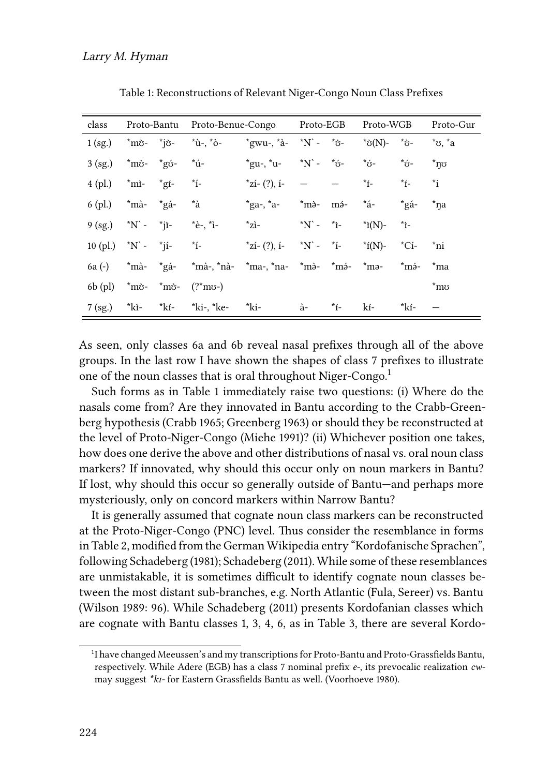<span id="page-1-0"></span>

| class                   |                  | Proto-Bantu Proto-Benue-Congo                                                       |                                                    | Proto-EGB        |              | Proto-WGB       |                | Proto-Gur                                             |
|-------------------------|------------------|-------------------------------------------------------------------------------------|----------------------------------------------------|------------------|--------------|-----------------|----------------|-------------------------------------------------------|
| $1$ (sg.)               | *mò- *iờ-        | *ù-. *ò-                                                                            | *gwu-, *à- *N`- *ờ-                                |                  |              | *ờ(N)-          | *స-            | $i$ <sup>*</sup> $\sigma$ , $i$ <sup>*</sup> $\alpha$ |
| $3$ (sg.)               | *mò- *gó-        | *ú-                                                                                 | $*$ gu-, $*$ u-                                    | *N` - *ớ-        |              | *ó-             | *ó-            | $^*$ ท $\circ$                                        |
| $4$ (pl.)               | $\sin^{-1}$ *gf- | $\mathbf{r}$ $\mathbf{r}$                                                           | $z_{i}$ (?), i-                                    |                  |              | $\dot{r}$       | $\dot{r}$ í-   | *i                                                    |
| 6 (pl.)                 | *mà- *gá-        | *à                                                                                  | $*ga-, *a-$                                        |                  | *mà- má- *á- |                 | *gá-           | *na                                                   |
| $9 (sg.)$ *N` - *jì-    |                  | $E^*e^-$ , $i^-$                                                                    | $\overline{z}$ i-                                  | $*N$ - $*_{i}$ - |              | $\hat{i}(N)$ -  | *ì-            |                                                       |
| 10 (pl.) $*N$ - $*ji$ - |                  | $*_{i}$                                                                             | $\text{*}z$ i- (?), i- $\text{*}N$ - $\text{*}i$ - |                  |              | $*_{\rm f(N)-}$ | $^{\star}$ Cí- | *ni                                                   |
|                         |                  | 6a (-) *mà- *gá- *mà-, *nà- *ma-, *na- *mà- *mэ- *mə- *mə- *mə- *ma                 |                                                    |                  |              |                 |                |                                                       |
|                         |                  | 6b (pl) $\pi$ <sup>2</sup> mò - $\pi$ <sup>2</sup> mò - $(2 \pi$ <sup>2</sup> mo -) |                                                    |                  |              |                 |                | $\mathrm{^*m}$                                        |
| $7$ (sg.)               |                  | *kì- *kí- *ki-, *ke- *ki-                                                           |                                                    | à-               | *í-          | kí-             | *kí-           |                                                       |

Table 1: Reconstructions of Relevant Niger-Congo Noun Class Prefixes

As seen, only classes 6a and 6b reveal nasal prefixes through all of the above groups. In the last row I have shown the shapes of class 7 prefixes to illustrate one of the noun classes that is oral throughout Niger-Congo.<sup>1</sup>

Such forms as in Table [1](#page-1-0) immediately raise two questions: (i) Where do the nasals come from? Are they innovated in Bantu according to the Crabb-Greenberg hypothesis([Crabb 1965;](#page-11-1) [Greenberg 1963\)](#page-12-4) or should they be reconstructed at the level of Proto-Niger-Congo [\(Miehe 1991\)](#page-12-0)? (ii) Whichever position one takes, how does one derive the above and other distributions of nasal vs. oral noun class markers? If innovated, why should this occur only on noun markers in Bantu? If lost, why should this occur so generally outside of Bantu—and perhaps more mysteriously, only on concord markers within Narrow Bantu?

It is generally assumed that cognate noun class markers can be reconstructed at the Proto-Niger-Congo (PNC) level. Thus consider the resemblance in forms in Table [2](#page-2-0), modified from the German Wikipedia entry "Kordofanische Sprachen", following [Schadeberg \(1981](#page-13-0)); [Schadeberg \(2011](#page-13-1)). While some of these resemblances are unmistakable, it is sometimes difficult to identify cognate noun classes between the most distant sub-branches, e.g. North Atlantic (Fula, Sereer) vs. Bantu [\(Wilson 1989:](#page-13-2) 96). While [Schadeberg \(2011\)](#page-13-1) presents Kordofanian classes which are cognate with Bantu classes 1, 3, 4, 6, as in Table [3](#page-2-1), there are several Kordo-

<sup>&</sup>lt;sup>1</sup>I have changed Meeussen's and my transcriptions for Proto-Bantu and Proto-Grassfields Bantu, respectively. While Adere (EGB) has a class 7 nominal prefix *e-*, its prevocalic realization *cw*may suggest *\*kɪ-* for Eastern Grassfields Bantu as well.([Voorhoeve 1980\)](#page-13-3).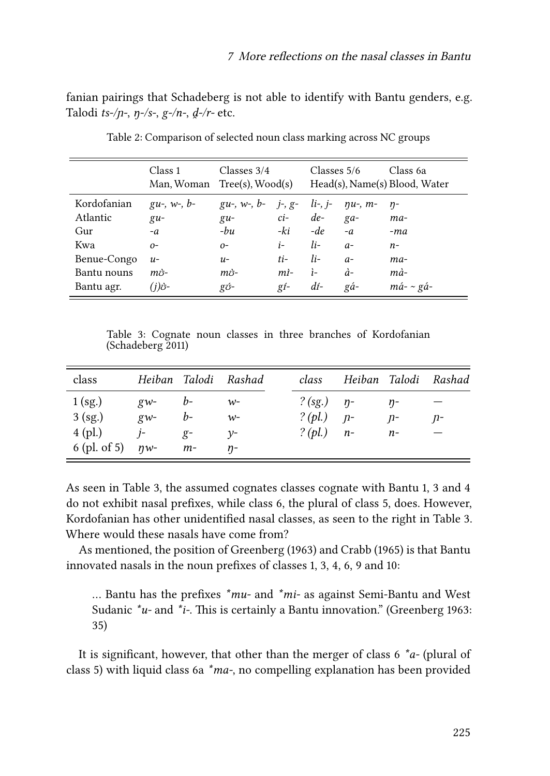fanian pairings that Schadeberg is not able to identify with Bantu genders, e.g. Talodi *ts-/n-*, *n-/s-*, *g-/n-*, *d-/r-* etc.

<span id="page-2-0"></span>

|             | Class 1<br>Man, Woman $Tree(s)$ , Wood $(s)$ | Classes 3/4                                     |                | Classes 5/6          |                | Class 6a<br>Head(s), Name(s) Blood, Water |
|-------------|----------------------------------------------|-------------------------------------------------|----------------|----------------------|----------------|-------------------------------------------|
| Kordofanian | $gu-, w-, b-$                                | $gu^-, w^-, b^-$ j-, g- li-, j- $\eta u^-, m^-$ |                |                      |                | $n-$                                      |
| Atlantic    | $g_{u}$ -                                    | $\mathfrak{g}u$ -                               |                | $ci$ - $de$ - $ga$ - |                | $ma-$                                     |
| Gur         | $-a$                                         | $-bu$                                           | -ki            | $-de$                | $-a$           | -ma                                       |
| Kwa         | $O-$                                         | $O-$                                            | $i$ -          | $li-$                | $a-$           | n-                                        |
| Benue-Congo | $u-$                                         | $u-$                                            | $ti-$          | $li-$                | $a-$           | ma-                                       |
| Bantu nouns | $m\ddot{o}$ -                                | $m\ddot{o}$ -                                   | m <sub>i</sub> | $i-$                 | $\dot{a}$ -    | mà-                                       |
| Bantu agr.  | $(i)\mathring{\sigma}$ -                     | gó-                                             | $gf-$          | $d$ í-               | $g\acute{a}$ - | $m\acute{a}$ - ~ gá-                      |

Table 2: Comparison of selected noun class marking across NC groups

Table 3: Cognate noun classes in three branches of Kordofanian [\(Schadeberg 2011](#page-13-1))

<span id="page-2-1"></span>

| class                   |                   |      | Heiban Talodi Rashad | class                 |      | Heiban Talodi Rashad |
|-------------------------|-------------------|------|----------------------|-----------------------|------|----------------------|
| $1$ (sg.)               | $g_{W^-}$<br>$b-$ |      | $W^-$                | ? $(sg.)$ $\eta$ -    | $n-$ |                      |
| 3 (sg.)                 | $g_{w}$ -         | $b-$ | $W^-$                | ? ( <i>pl.</i> ) $p-$ | $n-$ | n-                   |
| $4$ (pl.)               | $j-$              | $g-$ | $v$ -                | ? ( <i>pl.</i> ) $n-$ | $n-$ |                      |
| 6 (pl. of 5) $\eta w$ - |                   | $m-$ | $n-$                 |                       |      |                      |
|                         |                   |      |                      |                       |      |                      |

As seen in Table [3,](#page-2-1) the assumed cognates classes cognate with Bantu 1, 3 and 4 do not exhibit nasal prefixes, while class 6, the plural of class 5, does. However, Kordofanian has other unidentified nasal classes, as seen to the right in Table [3.](#page-2-1) Where would these nasals have come from?

As mentioned, the position of [Greenberg \(1963\)](#page-12-4) and [Crabb \(1965\)](#page-11-1) is that Bantu innovated nasals in the noun prefixes of classes 1, 3, 4, 6, 9 and 10:

… Bantu has the prefixes *\*mu-* and *\*mi-* as against Semi-Bantu and West Sudanic *\*u-* and *\*i-*. This is certainly a Bantu innovation."([Greenberg 1963](#page-12-4): 35)

It is significant, however, that other than the merger of class 6 *\*a-* (plural of class 5) with liquid class 6a *\*ma-*, no compelling explanation has been provided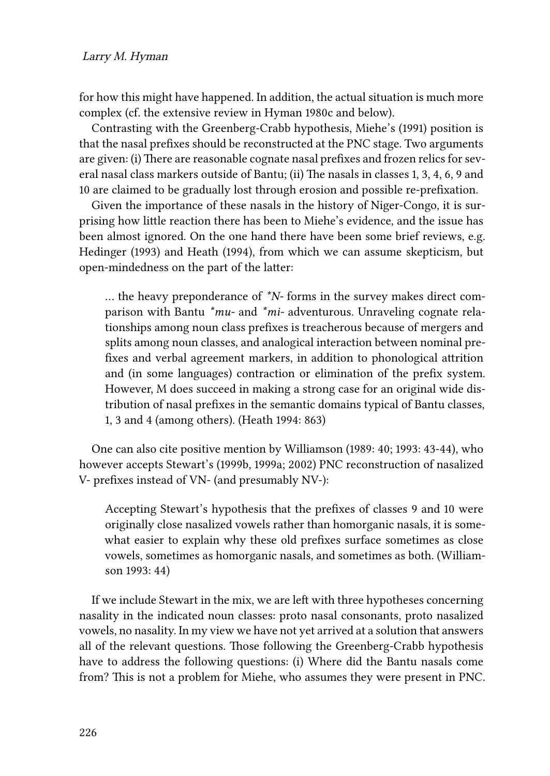#### Larry M. Hyman

for how this might have happened. In addition, the actual situation is much more complex (cf. the extensive review in [Hyman 1980c](#page-12-3) and below).

Contrasting with the Greenberg-Crabb hypothesis, [Miehe](#page-12-0)'s([1991\)](#page-12-0) position is that the nasal prefixes should be reconstructed at the PNC stage. Two arguments are given: (i) There are reasonable cognate nasal prefixes and frozen relics for several nasal class markers outside of Bantu; (ii) The nasals in classes 1, 3, 4, 6, 9 and 10 are claimed to be gradually lost through erosion and possible re-prefixation.

Given the importance of these nasals in the history of Niger-Congo, it is surprising how little reaction there has been to Miehe's evidence, and the issue has been almost ignored. On the one hand there have been some brief reviews, e.g. [Hedinger \(1993\)](#page-12-5) and [Heath \(1994\)](#page-12-6), from which we can assume skepticism, but open-mindedness on the part of the latter:

… the heavy preponderance of *\*N-* forms in the survey makes direct comparison with Bantu *\*mu-* and *\*mi-* adventurous. Unraveling cognate relationships among noun class prefixes is treacherous because of mergers and splits among noun classes, and analogical interaction between nominal prefixes and verbal agreement markers, in addition to phonological attrition and (in some languages) contraction or elimination of the prefix system. However, M does succeed in making a strong case for an original wide distribution of nasal prefixes in the semantic domains typical of Bantu classes, 1, 3 and 4 (among others). [\(Heath 1994:](#page-12-6) 863)

One can also cite positive mention by Williamson (1989: 40; 1993: 43-44), who however accepts Stewart's [\(1999b,](#page-13-4) 1999a; 2002) PNC reconstruction of nasalized V- prefixes instead of VN- (and presumably NV-):

Accepting Stewart's hypothesis that the prefixes of classes 9 and 10 were originally close nasalized vowels rather than homorganic nasals, it is somewhat easier to explain why these old prefixes surface sometimes as close vowels, sometimes as homorganic nasals, and sometimes as both. [\(William](#page-13-5)[son 1993:](#page-13-5) 44)

If we include Stewart in the mix, we are left with three hypotheses concerning nasality in the indicated noun classes: proto nasal consonants, proto nasalized vowels, no nasality. In my view we have not yet arrived at a solution that answers all of the relevant questions. Those following the Greenberg-Crabb hypothesis have to address the following questions: (i) Where did the Bantu nasals come from? This is not a problem for Miehe, who assumes they were present in PNC.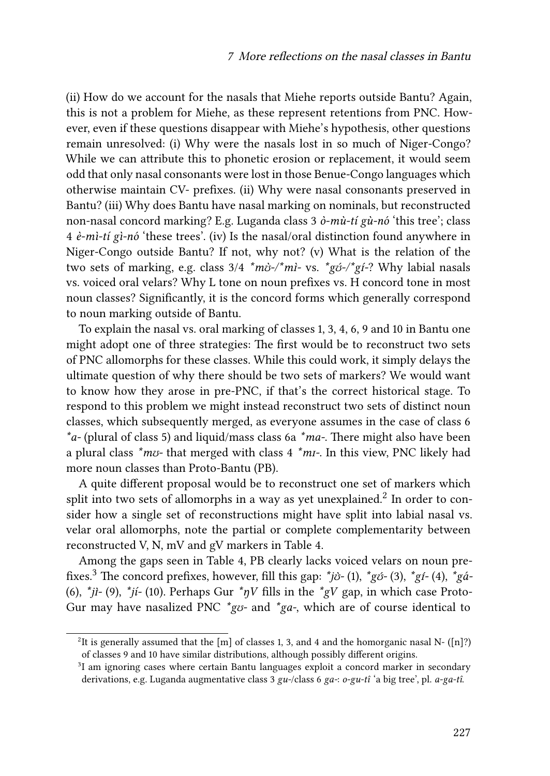(ii) How do we account for the nasals that Miehe reports outside Bantu? Again, this is not a problem for Miehe, as these represent retentions from PNC. However, even if these questions disappear with Miehe's hypothesis, other questions remain unresolved: (i) Why were the nasals lost in so much of Niger-Congo? While we can attribute this to phonetic erosion or replacement, it would seem odd that only nasal consonants were lost in those Benue-Congo languages which otherwise maintain CV- prefixes. (ii) Why were nasal consonants preserved in Bantu? (iii) Why does Bantu have nasal marking on nominals, but reconstructed non-nasal concord marking? E.g. Luganda class 3 *ò-mù-tí gù-nó* 'this tree'; class 4 *è-mì-tí gì-nó* 'these trees'. (iv) Is the nasal/oral distinction found anywhere in Niger-Congo outside Bantu? If not, why not? (v) What is the relation of the two sets of marking, e.g. class 3/4 *\*mʊ̀-/\*mɪ̀-* vs. *\*gʊ́-/\*gɪ-́* ? Why labial nasals vs. voiced oral velars? Why L tone on noun prefixes vs. H concord tone in most noun classes? Significantly, it is the concord forms which generally correspond to noun marking outside of Bantu.

To explain the nasal vs. oral marking of classes 1, 3, 4, 6, 9 and 10 in Bantu one might adopt one of three strategies: The first would be to reconstruct two sets of PNC allomorphs for these classes. While this could work, it simply delays the ultimate question of why there should be two sets of markers? We would want to know how they arose in pre-PNC, if that's the correct historical stage. To respond to this problem we might instead reconstruct two sets of distinct noun classes, which subsequently merged, as everyone assumes in the case of class 6 *\*a-* (plural of class 5) and liquid/mass class 6a *\*ma-*. There might also have been a plural class *\*mʊ-* that merged with class 4 *\*mɪ-*. In this view, PNC likely had more noun classes than Proto-Bantu (PB).

A quite different proposal would be to reconstruct one set of markers which split into two sets of allomorphs in a way as yet unexplained. $^2$  In order to consider how a single set of reconstructions might have split into labial nasal vs. velar oral allomorphs, note the partial or complete complementarity between reconstructed V, N, mV and gV markers in Table [4](#page-5-0).

Among the gaps seen in Table [4,](#page-5-0) PB clearly lacks voiced velars on noun prefixes.3 The concord prefixes, however, fill this gap: *\*jʊ̀-* (1), *\*gʊ́-* (3), *\*gɪ-́* (4), *\*gá-* (6),  $\phi$ *i* $j$ *i*-(9),  $\phi$ <sup>*i*</sup> $j$ *i*-(10). Perhaps Gur  $\phi$ <sup>*n*</sup> $V$  fills in the  $\phi$ <sup>*x*</sup> $g$ V gap, in which case Proto-Gur may have nasalized PNC *\*gʊ-* and *\*ga-*, which are of course identical to

<sup>&</sup>lt;sup>2</sup>It is generally assumed that the [m] of classes 1, 3, and 4 and the homorganic nasal N- ([n]?) of classes 9 and 10 have similar distributions, although possibly different origins.

<sup>&</sup>lt;sup>3</sup>I am ignoring cases where certain Bantu languages exploit a concord marker in secondary derivations, e.g. Luganda augmentative class 3 *gu-*/class 6 *ga-*: *o-gu-tî* 'a big tree', pl. *a-ga-tî*.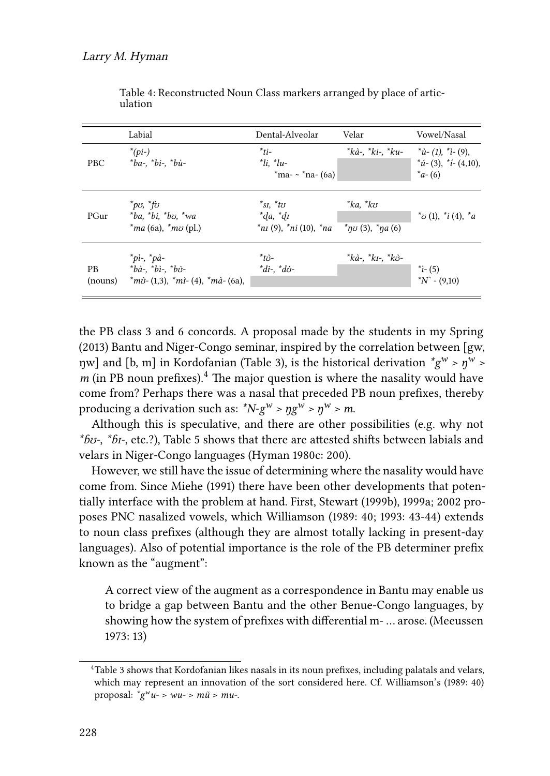<span id="page-5-0"></span>

|                      | Labial                                                                                                                                                                                                                                                                                                                                                                                            | Dental-Alveolar                                                                                                                              | Velar                     | Vowel/Nasal                                                       |
|----------------------|---------------------------------------------------------------------------------------------------------------------------------------------------------------------------------------------------------------------------------------------------------------------------------------------------------------------------------------------------------------------------------------------------|----------------------------------------------------------------------------------------------------------------------------------------------|---------------------------|-------------------------------------------------------------------|
| <b>PBC</b>           | $*(pi-)$<br>$*ba$ -, $*bi$ -, $*bi$ -                                                                                                                                                                                                                                                                                                                                                             | $*_{ti-}$<br>$i$ . $i$<br>$*$ ma- ~ $*$ na- (6a)                                                                                             | *kà-, *ki-, *ku-          | $i^*$ ù- (1), $i$ - (9),<br>$i^*(i-(3), i^*(4,10)),$<br>$a - (6)$ |
| PGur                 | $^*p\sigma$ , $^*f\sigma$<br>$*ba.$ $*bi.$ $*bo.$ $*wa$<br>$*ma(6a), *mv(pl.)$                                                                                                                                                                                                                                                                                                                    | $^*$ sı. $^*$ t $\sigma$<br>$*da, *dt$<br>$*_{\text{nI}}(9)$ , $*_{\text{nI}}(10)$ , $*_{\text{n}a}$ $*_{\text{n}b}(3)$ , $*_{\text{n}a}(6)$ | $^*ka$ , $^*k\sigma$      | $i^*$ v $(1)$ , $i^*(4)$ , $i^*$                                  |
| <b>PB</b><br>(nouns) | $"pi$ -, $"pi$ -<br>$\phi_a$ - $\phi_b$ + $\phi_b$ + $\phi_b$ + $\phi_b$ + $\phi_b$ + $\phi_b$ + $\phi_b$ + $\phi_b$ + $\phi_b$ + $\phi_b$ + $\phi_b$ + $\phi_b$ + $\phi_b$ + $\phi_b$ + $\phi_b$ + $\phi_b$ + $\phi_b$ + $\phi_b$ + $\phi_b$ + $\phi_b$ + $\phi_b$ + $\phi_b$ + $\phi_b$ + $\phi_b$ + $\phi_b$ + $\phi_b$ + $\phi_b$<br>$\hat{m}$ ò- (1,3), $\hat{m}$ ì- (4), $\hat{m}$ à- (6a), | $*$ tzs-<br>$idi$ -, $idi$ -                                                                                                                 | $*$ kà-, $*$ kı-, $*$ kò- | $i - (5)$<br>$N - (9,10)$                                         |

Table 4: Reconstructed Noun Class markers arranged by place of articulation

the PB class 3 and 6 concords. A proposal made by the students in my Spring (2013) Bantu and Niger-Congo seminar, inspired by the correlation between [gw,  $\eta$ w] and [b, m] in Kordofanian (Table [3](#page-2-1)), is the historical derivation  $^*g^w > \eta^w >$ *m* (in PB noun prefixes).<sup>4</sup> The major question is where the nasality would have come from? Perhaps there was a nasal that preceded PB noun prefixes, thereby producing a derivation such as:  $^*N-g^w > \eta g^w > m$ .

Although this is speculative, and there are other possibilities (e.g. why not *\*ɓʊ-*, *\*ɓɪ-*, etc.?), Table [5](#page-6-0) shows that there are attested shifts between labials and velars in Niger-Congo languages([Hyman 1980c:](#page-12-3) 200).

However, we still have the issue of determining where the nasality would have come from. Since [Miehe \(1991\)](#page-12-0) there have been other developments that potentially interface with the problem at hand. First, [Stewart \(1999b\)](#page-13-4), 1999a; 2002 proposes PNC nasalized vowels, which Williamson (1989: 40; 1993: 43-44) extends to noun class prefixes (although they are almost totally lacking in present-day languages). Also of potential importance is the role of the PB determiner prefix known as the "augment":

A correct view of the augment as a correspondence in Bantu may enable us to bridge a gap between Bantu and the other Benue-Congo languages, by showing how the system of prefixes with differential m- … arose.([Meeussen](#page-12-7) [1973](#page-12-7): 13)

<sup>&</sup>lt;sup>4</sup>Table [3](#page-2-1) shows that Kordofanian likes nasals in its noun prefixes, including palatals and velars, which may represent an innovation of the sort considered here. Cf. Williamson's (1989: 40) proposal:  $^*g^w u - > w u - > m\tilde{u} > mu$ .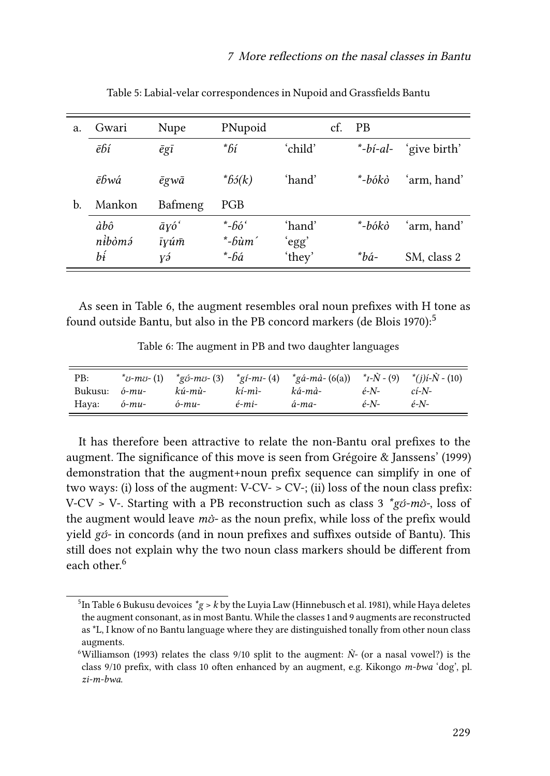<span id="page-6-0"></span>

| a. | Gwari         | Nupe                          | PNupoid              |                 | cf. | <b>PB</b>             |              |
|----|---------------|-------------------------------|----------------------|-----------------|-----|-----------------------|--------------|
|    | ēbí           | $\bar{e}$ gī                  | *bí                  | ʻchild'         |     | $\rightarrow$ -bi-al- | 'give birth' |
|    | ēĥwá          | ēgwā                          | $*65(k)$             | 'hand'          |     | *-bókò                | 'arm, hand'  |
| b. | Mankon        | Bafmeng                       | <b>PGB</b>           |                 |     |                       |              |
|    | àbô<br>nibòmá | $\bar{a}y\acute{o}^t$<br>īyúm | *-fióʻ<br>$*-b\`um'$ | 'hand'<br>'egg' |     | *-bókò                | 'arm, hand'  |
|    | bį            | γэ́                           | *-bá                 | 'they'          |     | *bá-                  | SM, class 2  |

Table 5: Labial-velar correspondences in Nupoid and Grassfields Bantu

As seen in Table [6,](#page-6-1) the augment resembles oral noun prefixes with H tone as foundoutside Bantu, but also in the PB concord markers ([de Blois 1970\)](#page-11-2):<sup>5</sup>

Table 6: The augment in PB and two daughter languages

<span id="page-6-1"></span>

| PB:     |                  |               |                  | * $v$ -mv-(1) * $g$ (3) * $g$ (-mu-(4) * $g$ (-ma-(6(a)) * $I$ - $\tilde{N}$ -(9) * $(i)$ (i- $\tilde{N}$ -(10) |         |          |
|---------|------------------|---------------|------------------|-----------------------------------------------------------------------------------------------------------------|---------|----------|
| Bukusu: | $\acute{o}$ -mu- | kú-mù-        | kí-mì-           | ká-mà-                                                                                                          | $e-N$ - | $c$ í-N- |
| Hava:   | ó-mu-            | $\delta$ -mu- | $\acute{e}$ -mi- | á-ma-                                                                                                           | $e-N$ - | $e-N$ -  |

It has therefore been attractive to relate the non-Bantu oral prefixes to the augment. The significance of this move is seen from [Grégoire & Janssens'](#page-12-8) (1999) demonstration that the augment+noun prefix sequence can simplify in one of two ways: (i) loss of the augment:  $V$ -CV- > CV-; (ii) loss of the noun class prefix: V-CV > V-. Starting with a PB reconstruction such as class 3 *\*gʊ́-mʊ̀-*, loss of the augment would leave *mʊ̀-* as the noun prefix, while loss of the prefix would yield *gʊ́-* in concords (and in noun prefixes and suffixes outside of Bantu). This still does not explain why the two noun class markers should be different from each other.<sup>6</sup>

<sup>5</sup> In Table [6](#page-6-1) Bukusu devoices *\*g* > *k* by the Luyia Law([Hinnebusch et al. 1981\)](#page-12-9), while Haya deletes the augment consonant, as in most Bantu. While the classes 1 and 9 augments are reconstructed as \*L, I know of no Bantu language where they are distinguished tonally from other noun class augments.

<sup>&</sup>lt;sup>6</sup>[Williamson \(1993\)](#page-13-5) relates the class  $9/10$  split to the augment:  $\dot{N}$ - (or a nasal vowel?) is the class 9/10 prefix, with class 10 often enhanced by an augment, e.g. Kikongo *m-bwa* 'dog', pl. *zi-m-bwa*.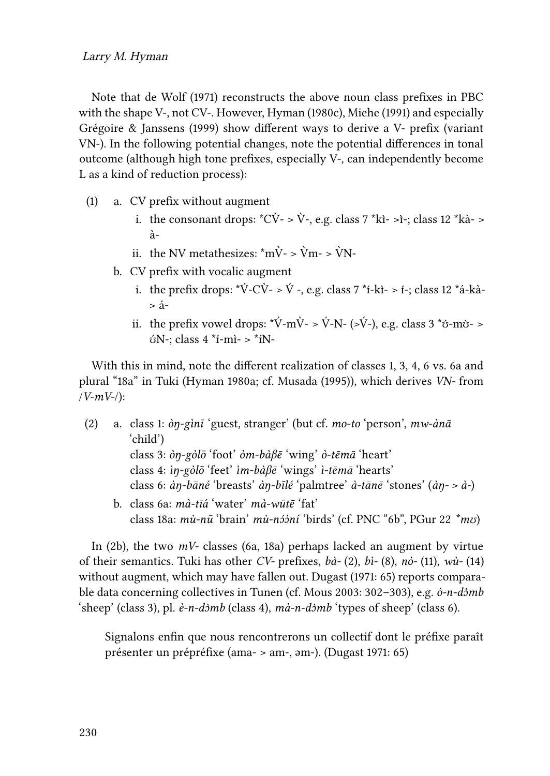Note that [de Wolf \(1971\)](#page-11-0) reconstructs the above noun class prefixes in PBC with the shape V-, not CV-. However, [Hyman \(1980c\)](#page-12-3), [Miehe \(1991\)](#page-12-0) and especially [Grégoire & Janssens \(1999\)](#page-12-8) show different ways to derive a V- prefix (variant VN-). In the following potential changes, note the potential differences in tonal outcome (although high tone prefixes, especially V-, can independently become L as a kind of reduction process):

- (1) a. CV prefix without augment
	- i. the consonant drops:  $^{\ast}C\dot{V}$  >  $\dot{V}$  -, e.g. class 7  $^{\ast}$ kì >ì -; class 12  $^{\ast}$ kà > à-
	- ii. the NV metathesizes:  $\text{*mV}$   $\text{v}$   $\text{m}$   $\text{v}$   $\text{m}$   $\text{v}$   $\text{m}$   $\text{v}$
	- b. CV prefix with vocalic augment
		- i. the prefix drops:  $\forall \angle C\vec{V}$   $\forall$  -, e.g. class 7  $\forall$  i-kì > i-; class 12  $\forall$  a-kà- $> 4$
		- ii. the prefix vowel drops:  $*\V{V-m}\V{-} > \V{V-N-}$  (>V-), e.g. class 3  $*\v{o}$ -m $\v{o}$  >  $6N$ -; class 4 \*f-mì- > \*fN-

With this in mind, note the different realization of classes 1, 3, 4, 6 vs. 6a and plural "18a" in Tuki [\(Hyman 1980a](#page-12-10); cf. [Musada \(1995\)](#page-13-6)), which derives *VN-* from /*V-mV-*/):

- (2) a. class 1: *òŋ-gìnī* 'guest, stranger' (but cf. *mo-to* 'person', *mw-ànā* 'child') class 3: *òŋ-gòlō* 'foot' *òm-bàβē* 'wing' *ò-tēmā* 'heart' class 4: *ìŋ-gòlō* 'feet' *ìm-bàβē* 'wings' *ì-tēmā* 'hearts' class 6: *àŋ-bāné* 'breasts' *àŋ-bīlé* 'palmtree' *à-tānē* 'stones' (*àŋ- > à-*)
	- b. class 6a: *mà-tīá* 'water' *mà-wūtē* 'fat' class 18a: *mù-nū* 'brain' *mù-nɔ́ɔ̀ní* 'birds' (cf. PNC "6b", PGur 22 *\*mʊ*)

In (2b), the two *mV-* classes (6a, 18a) perhaps lacked an augment by virtue of their semantics. Tuki has other *CV-* prefixes, *bà-* (2), *bì-* (8), *nò-* (11), *wù-* (14) without augment, which may have fallen out. [Dugast \(1971](#page-11-3): 65) reports comparable data concerning collectives in Tunen (cf. [Mous 2003:](#page-13-7) 302–303), e.g. *ò-n-dɔ̀mb* 'sheep' (class 3), pl. *è-n-dɔ̀mb* (class 4), *mà-n-dɔ̀mb* 'types of sheep' (class 6).

Signalons enfin que nous rencontrerons un collectif dont le préfixe paraît présenter un prépréfixe (ama- > am-, əm-). [\(Dugast 1971](#page-11-3): 65)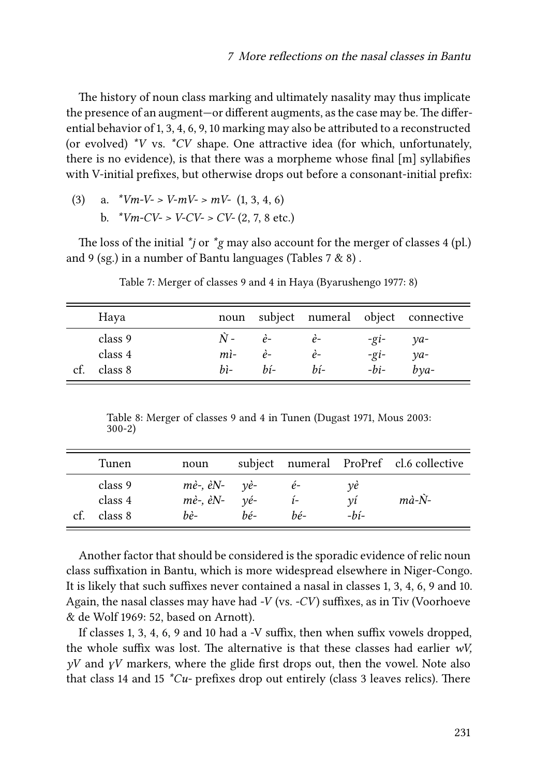The history of noun class marking and ultimately nasality may thus implicate the presence of an augment—or different augments, as the case may be. The differential behavior of 1, 3, 4, 6, 9, 10 marking may also be attributed to a reconstructed (or evolved) *\*V* vs. *\*CV* shape. One attractive idea (for which, unfortunately, there is no evidence), is that there was a morpheme whose final [m] syllabifies with V-initial prefixes, but otherwise drops out before a consonant-initial prefix:

(3) a. 
$$
*Vm-V > V-mV > mV - (1, 3, 4, 6)
$$
 \nb.  $*Vm-CV > V-CV > CV - (2, 7, 8 \text{ etc.})$ 

The loss of the initial *\*j* or *\*g* may also account for the merger of classes 4 (pl.) and 9 (sg.) in a number of Bantu languages (Tables [7](#page-8-0) & [8\)](#page-8-1) .

<span id="page-8-0"></span>

| Haya                                 |                                   |                                    |                   |                                                  | noun subject numeral object connective              |
|--------------------------------------|-----------------------------------|------------------------------------|-------------------|--------------------------------------------------|-----------------------------------------------------|
| class 9<br>class 4<br>class 8<br>cf. | $N -$<br>$m$ ì-<br>$b$ <i>i</i> - | $\dot{e}$ -<br>$\dot{e}$<br>$h$ í- | $e-$<br>ė-<br>bí- | $-\overline{g}i-$<br>$-\overline{g}i-$<br>$-bi-$ | $\mathcal{V}a$ -<br>$\gamma a$ -<br>$b$ <i>va</i> - |

Table 7: Merger of classes 9 and 4 in Haya [\(Byarushengo 1977:](#page-11-4) 8)

Table 8: Merger of classes 9 and 4 in Tunen [\(Dugast 1971](#page-11-3), [Mous 2003:](#page-13-7) 300-2)

<span id="page-8-1"></span>

|     | Tunen                         | noun                                                                                        |     |             |                    | subject numeral ProPref cl.6 collective |
|-----|-------------------------------|---------------------------------------------------------------------------------------------|-----|-------------|--------------------|-----------------------------------------|
| ct. | class 9<br>class 4<br>class 8 | $m\dot{e}$ -, $\dot{e}N$ - $v\dot{e}$ -<br>$m\dot{e}$ -, $\dot{e}N$ - $\nu\dot{e}$ -<br>bè- | hé- | $e-$<br>hé- | vė<br>νi<br>$-hi-$ | $m\dot{a}$ - $\dot{N}$ -                |

Another factor that should be considered is the sporadic evidence of relic noun class suffixation in Bantu, which is more widespread elsewhere in Niger-Congo. It is likely that such suffixes never contained a nasal in classes 1, 3, 4, 6, 9 and 10. Again, the nasal classes may have had *-V* (vs. *-CV*) suffixes, as in Tiv [\(Voorhoeve](#page-13-8) [& de Wolf 1969](#page-13-8): 52, based on Arnott).

If classes 1, 3, 4, 6, 9 and 10 had a -V suffix, then when suffix vowels dropped, the whole suffix was lost. The alternative is that these classes had earlier *wV, yV* and *ɣV* markers, where the glide first drops out, then the vowel. Note also that class 14 and 15 *\*Cu-* prefixes drop out entirely (class 3 leaves relics). There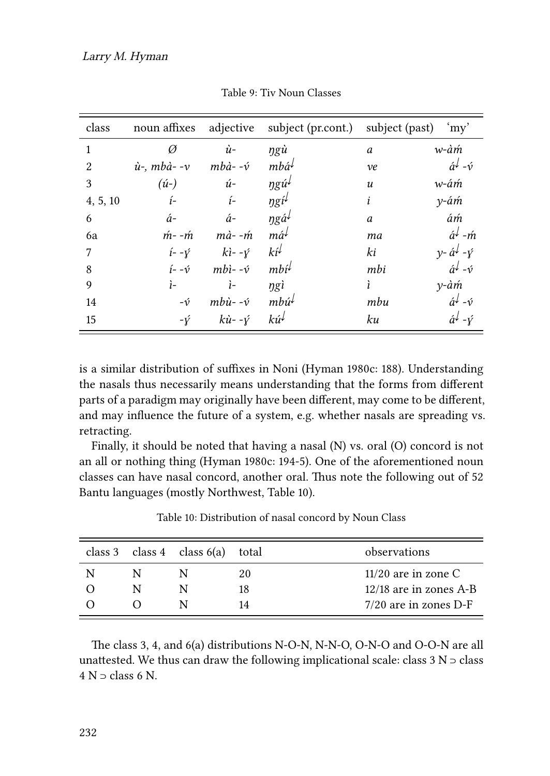| class          | noun affixes        | adjective                      | subject (pr.cont.) subject (past)            |                  | 'my'                                 |
|----------------|---------------------|--------------------------------|----------------------------------------------|------------------|--------------------------------------|
| $\mathbf{1}$   | Ø                   | $\dot{u}$ -                    | ŋgù                                          | a                | w-àm                                 |
| $\overline{2}$ | $\dot{u}$ -, mbà--v | $mb\{\hat{a}}$ - - $\acute{v}$ | $mb\hat{a}^{\downarrow}$                     | ve               | $\hat{a}^{\downarrow}$ - $\hat{v}$   |
| 3              | $(\hat{u}$ -        | $\acute{u}$ -                  | $\eta g \acute{u}^{\downarrow}$              | $\boldsymbol{u}$ | w-ám                                 |
| 4, 5, 10       | $i-$                | $i-$                           | $\eta g \hat{\iota}^{\downarrow}$            | i                | $y - \acute{a}m$                     |
| 6              | $\acute{a}$ -       | á-                             | $\eta$ gá <sup><math>\downarrow</math></sup> | a                | ám                                   |
| 6a             | $m - m$             | $m\dot{a}$ - - $\acute{m}$     | má↓                                          | mа               | $\acute{a}^{\dot{\downarrow}}$ -m    |
| 7              | $i - \gamma$        | $ki$ - - $\acute{v}$           | $k i^{\downarrow}$                           | ki               | $v - \hat{a}^{\downarrow} - \hat{v}$ |
| 8              | $i - -\hat{v}$      | $mbi$ -- $\acute{v}$           | $mbi^{\downarrow}$                           | mbi              | $\hat{a}^{\downarrow}$ - $\hat{v}$   |
| 9              | $i-$                | $i-$                           | ngì                                          | ì                | y-àm                                 |
| 14             | $-\acute{\nu}$      | $mb\{\hat{u}$ - - $\acute{v}$  | $mb\hat{u}^{\downarrow}$                     | mbu              | $\hat{a}^{\downarrow}$ - $\hat{v}$   |
| 15             | $-\hat{Y}$          | $k\dot{u}$ - - $\dot{Y}$       | $k\acute{u}^{\downarrow}$                    | ku               | $\hat{a}^{\downarrow}$ - $\hat{Y}$   |

Table 9: Tiv Noun Classes

is a similar distribution of suffixes in Noni([Hyman 1980c:](#page-12-3) 188). Understanding the nasals thus necessarily means understanding that the forms from different parts of a paradigm may originally have been different, may come to be different, and may influence the future of a system, e.g. whether nasals are spreading vs. retracting.

Finally, it should be noted that having a nasal (N) vs. oral (O) concord is not an all or nothing thing [\(Hyman 1980c:](#page-12-3) 194-5). One of the aforementioned noun classes can have nasal concord, another oral. Thus note the following out of 52 Bantu languages (mostly Northwest, Table [10\)](#page-9-0).

<span id="page-9-0"></span>

|  | class 3 class 4 class $6(a)$ total |    | observations            |
|--|------------------------------------|----|-------------------------|
|  |                                    | 20 | $11/20$ are in zone C   |
|  |                                    | 18 | 12/18 are in zones A-B  |
|  |                                    | 14 | $7/20$ are in zones D-F |

Table 10: Distribution of nasal concord by Noun Class

The class 3, 4, and 6(a) distributions N-O-N, N-N-O, O-N-O and O-O-N are all unattested. We thus can draw the following implicational scale: class  $3 N$  ⊃ class  $4 N$  ⊃ class 6 N.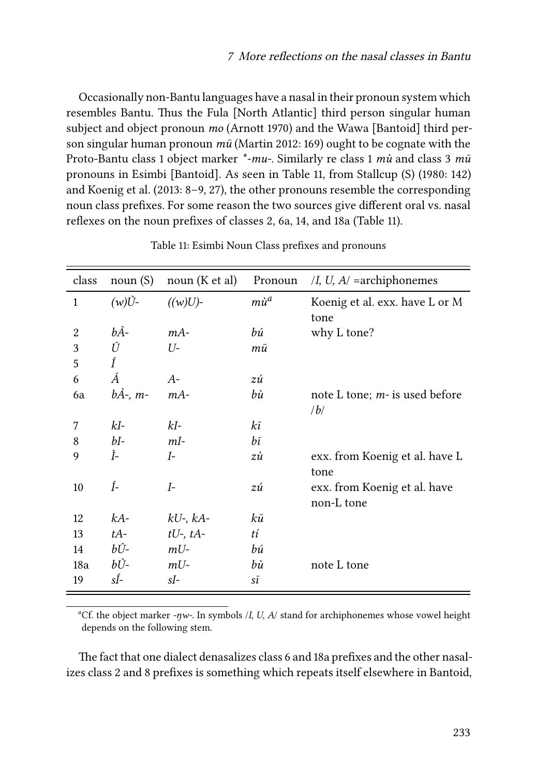Occasionally non-Bantu languages have a nasal in their pronoun system which resembles Bantu. Thus the Fula [North Atlantic] third person singular human subject and object pronoun *mo* ([Arnott 1970](#page-11-5)) and the Wawa [Bantoid] third person singular human pronoun *mū* ([Martin 2012](#page-12-11): 169) ought to be cognate with the Proto-Bantu class 1 object marker *\*-mu-*. Similarly re class 1 *mù* and class 3 *mū* pronouns in Esimbi [Bantoid]. As seen in Table [11,](#page-10-0) from [Stallcup](#page-12-12) (S) (1980: 142) and [Koenig et al. \(2013](#page-12-13): 8–9, 27), the other pronouns resemble the corresponding noun class prefixes. For some reason the two sources give different oral vs. nasal reflexes on the noun prefixes of classes 2, 6a, 14, and 18a (Table [11\)](#page-10-0).

<span id="page-10-0"></span>

| class<br>noun(S)<br>noun $(K et al)$<br>/I, U, $A$ = archiphonemes<br>Pronoun<br>$(w)U$ -<br>$m\dot{u}^a$<br>$((w)U)$ -<br>Koenig et al. exx. have L or M<br>$\mathbf{1}$<br>tone<br>bÀ-<br>$mA-$<br>bú<br>why L tone?<br>2<br>Ú<br>3<br>U-<br>тū<br>Í<br>5<br>Á<br>$A-$<br>6<br>zú<br>$b\AA$ -, m-<br>$mA-$<br>bù<br>note L tone; $m$ - is used before<br>6a<br>/b/<br>$kI-$<br>kI-<br>kī<br>7<br>$b\overline{i}$<br>$bI-$<br>$mI-$<br>8<br>Ì-<br>$I-$<br>zù<br>exx. from Koenig et al. have L<br>9<br>tone<br>Í-<br>$I-$<br>10<br>exx. from Koenig et al. have<br>zú<br>non-L tone<br>kū<br>$kA-$<br>12<br>$kU$ -, $kA$ -<br>tí<br>$tU$ -, $tA$ -<br>13<br>$tA-$<br>bÚ-<br>$mU-$<br>bú<br>14<br>bÙ-<br>bù<br>18a<br>$mU-$<br>note L tone<br>sÍ-<br>sI-<br>19<br>sī |  |  |  |
|----------------------------------------------------------------------------------------------------------------------------------------------------------------------------------------------------------------------------------------------------------------------------------------------------------------------------------------------------------------------------------------------------------------------------------------------------------------------------------------------------------------------------------------------------------------------------------------------------------------------------------------------------------------------------------------------------------------------------------------------------------------------|--|--|--|
|                                                                                                                                                                                                                                                                                                                                                                                                                                                                                                                                                                                                                                                                                                                                                                      |  |  |  |
|                                                                                                                                                                                                                                                                                                                                                                                                                                                                                                                                                                                                                                                                                                                                                                      |  |  |  |
|                                                                                                                                                                                                                                                                                                                                                                                                                                                                                                                                                                                                                                                                                                                                                                      |  |  |  |
|                                                                                                                                                                                                                                                                                                                                                                                                                                                                                                                                                                                                                                                                                                                                                                      |  |  |  |
|                                                                                                                                                                                                                                                                                                                                                                                                                                                                                                                                                                                                                                                                                                                                                                      |  |  |  |
|                                                                                                                                                                                                                                                                                                                                                                                                                                                                                                                                                                                                                                                                                                                                                                      |  |  |  |
|                                                                                                                                                                                                                                                                                                                                                                                                                                                                                                                                                                                                                                                                                                                                                                      |  |  |  |
|                                                                                                                                                                                                                                                                                                                                                                                                                                                                                                                                                                                                                                                                                                                                                                      |  |  |  |
|                                                                                                                                                                                                                                                                                                                                                                                                                                                                                                                                                                                                                                                                                                                                                                      |  |  |  |
|                                                                                                                                                                                                                                                                                                                                                                                                                                                                                                                                                                                                                                                                                                                                                                      |  |  |  |
|                                                                                                                                                                                                                                                                                                                                                                                                                                                                                                                                                                                                                                                                                                                                                                      |  |  |  |
|                                                                                                                                                                                                                                                                                                                                                                                                                                                                                                                                                                                                                                                                                                                                                                      |  |  |  |
|                                                                                                                                                                                                                                                                                                                                                                                                                                                                                                                                                                                                                                                                                                                                                                      |  |  |  |
|                                                                                                                                                                                                                                                                                                                                                                                                                                                                                                                                                                                                                                                                                                                                                                      |  |  |  |
|                                                                                                                                                                                                                                                                                                                                                                                                                                                                                                                                                                                                                                                                                                                                                                      |  |  |  |
|                                                                                                                                                                                                                                                                                                                                                                                                                                                                                                                                                                                                                                                                                                                                                                      |  |  |  |
|                                                                                                                                                                                                                                                                                                                                                                                                                                                                                                                                                                                                                                                                                                                                                                      |  |  |  |
|                                                                                                                                                                                                                                                                                                                                                                                                                                                                                                                                                                                                                                                                                                                                                                      |  |  |  |
|                                                                                                                                                                                                                                                                                                                                                                                                                                                                                                                                                                                                                                                                                                                                                                      |  |  |  |
|                                                                                                                                                                                                                                                                                                                                                                                                                                                                                                                                                                                                                                                                                                                                                                      |  |  |  |

Table 11: Esimbi Noun Class prefixes and pronouns

*<sup>a</sup>*Cf. the object marker *-ŋw-*. In symbols /*I, U, A*/ stand for archiphonemes whose vowel height depends on the following stem.

The fact that one dialect denasalizes class 6 and 18a prefixes and the other nasalizes class 2 and 8 prefixes is something which repeats itself elsewhere in Bantoid,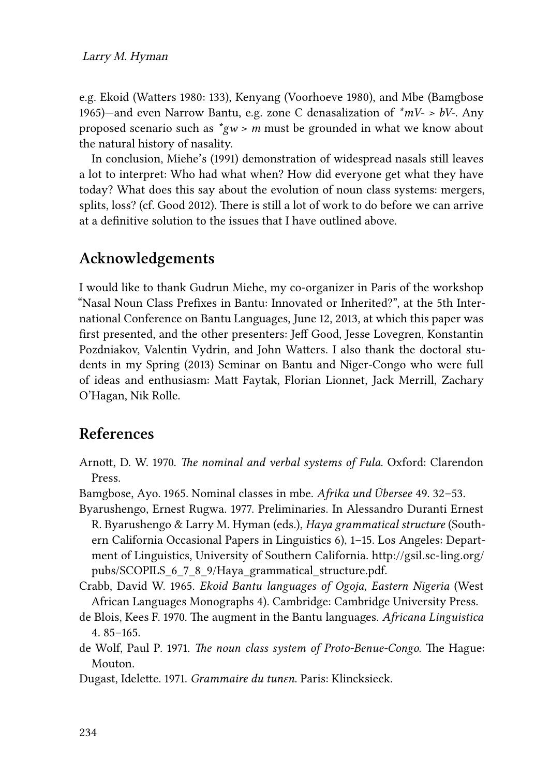e.g. Ekoid([Watters 1980](#page-13-9): 133), Kenyang [\(Voorhoeve 1980\)](#page-13-3), and Mbe [\(Bamgbose](#page-11-6) [1965\)](#page-11-6)—and even Narrow Bantu, e.g. zone C denasalization of *\*mV- > bV-*. Any proposed scenario such as *\*gw > m* must be grounded in what we know about the natural history of nasality.

In conclusion, [Miehe](#page-12-0)'s([1991\)](#page-12-0) demonstration of widespread nasals still leaves a lot to interpret: Who had what when? How did everyone get what they have today? What does this say about the evolution of noun class systems: mergers, splits, loss? (cf. [Good 2012\)](#page-12-14). There is still a lot of work to do before we can arrive at a definitive solution to the issues that I have outlined above.

## **Acknowledgements**

I would like to thank Gudrun Miehe, my co-organizer in Paris of the workshop "Nasal Noun Class Prefixes in Bantu: Innovated or Inherited?", at the 5th International Conference on Bantu Languages, June 12, 2013, at which this paper was first presented, and the other presenters: Jeff Good, Jesse Lovegren, Konstantin Pozdniakov, Valentin Vydrin, and John Watters. I also thank the doctoral students in my Spring (2013) Seminar on Bantu and Niger-Congo who were full of ideas and enthusiasm: Matt Faytak, Florian Lionnet, Jack Merrill, Zachary O'Hagan, Nik Rolle.

## **References**

- <span id="page-11-5"></span>Arnott, D. W. 1970. *The nominal and verbal systems of Fula*. Oxford: Clarendon Press.
- <span id="page-11-6"></span>Bamgbose, Ayo. 1965. Nominal classes in mbe. *Afrika und Übersee* 49. 32–53.
- <span id="page-11-4"></span>Byarushengo, Ernest Rugwa. 1977. Preliminaries. In Alessandro Duranti Ernest R. Byarushengo & Larry M. Hyman (eds.), *Haya grammatical structure* (Southern California Occasional Papers in Linguistics 6), 1–15. Los Angeles: Department of Linguistics, University of Southern California. [http://gsil.sc-ling.org/](http://gsil.sc-ling.org/pubs/SCOPILS_6_7_8_9/Haya_grammatical_structure.pdf) [pubs/SCOPILS\\_6\\_7\\_8\\_9/Haya\\_grammatical\\_structure.pdf](http://gsil.sc-ling.org/pubs/SCOPILS_6_7_8_9/Haya_grammatical_structure.pdf).
- <span id="page-11-1"></span>Crabb, David W. 1965. *Ekoid Bantu languages of Ogoja, Eastern Nigeria* (West African Languages Monographs 4). Cambridge: Cambridge University Press.
- <span id="page-11-2"></span>de Blois, Kees F. 1970. The augment in the Bantu languages. *Africana Linguistica* 4. 85–165.
- <span id="page-11-0"></span>de Wolf, Paul P. 1971. *The noun class system of Proto-Benue-Congo*. The Hague: Mouton.
- <span id="page-11-3"></span>Dugast, Idelette. 1971. *Grammaire du tunɛn*. Paris: Klincksieck.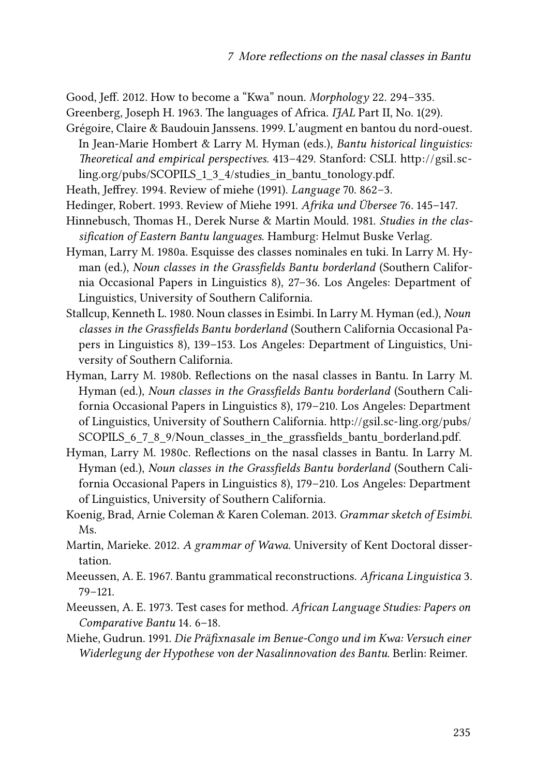<span id="page-12-14"></span>Good, Jeff. 2012. How to become a "Kwa" noun. *Morphology* 22. 294–335.

- <span id="page-12-4"></span>Greenberg, Joseph H. 1963. The languages of Africa. *IJAL* Part II, No. 1(29).
- <span id="page-12-8"></span>Grégoire, Claire & Baudouin Janssens. 1999. L'augment en bantou du nord-ouest. In Jean-Marie Hombert & Larry M. Hyman (eds.), *Bantu historical linguistics: Theoretical and empirical perspectives.* 413–429. Stanford: CSLI. [http://gsil.sc](http://gsil.sc-ling.org/pubs/SCOPILS_1_3_4/studies_in_bantu_tonology.pdf)[ling.org/pubs/SCOPILS\\_1\\_3\\_4/studies\\_in\\_bantu\\_tonology.pdf.](http://gsil.sc-ling.org/pubs/SCOPILS_1_3_4/studies_in_bantu_tonology.pdf)
- <span id="page-12-6"></span>Heath, Jeffrey. 1994. Review of miehe (1991). *Language* 70. 862–3.
- <span id="page-12-5"></span>Hedinger, Robert. 1993. Review of Miehe 1991. *Afrika und Übersee* 76. 145–147.
- <span id="page-12-9"></span>Hinnebusch, Thomas H., Derek Nurse & Martin Mould. 1981. *Studies in the classification of Eastern Bantu languages*. Hamburg: Helmut Buske Verlag.
- <span id="page-12-10"></span>Hyman, Larry M. 1980a. Esquisse des classes nominales en tuki. In Larry M. Hyman (ed.), *Noun classes in the Grassfields Bantu borderland* (Southern California Occasional Papers in Linguistics 8), 27–36. Los Angeles: Department of Linguistics, University of Southern California.
- <span id="page-12-12"></span>Stallcup, Kenneth L. 1980. Noun classes in Esimbi. In Larry M. Hyman (ed.), *Noun classes in the Grassfields Bantu borderland* (Southern California Occasional Papers in Linguistics 8), 139–153. Los Angeles: Department of Linguistics, University of Southern California.
- <span id="page-12-1"></span>Hyman, Larry M. 1980b. Reflections on the nasal classes in Bantu. In Larry M. Hyman (ed.), *Noun classes in the Grassfields Bantu borderland* (Southern California Occasional Papers in Linguistics 8), 179–210. Los Angeles: Department of Linguistics, University of Southern California. [http://gsil.sc-ling.org/pubs/](http://gsil.sc-ling.org/pubs/SCOPILS_6_7_8_9/Noun_classes_in_the_grassfields_bantu_borderland.pdf) SCOPILS 6 7 8 9/Noun classes in the grassfields bantu borderland.pdf.
- <span id="page-12-3"></span>Hyman, Larry M. 1980c. Reflections on the nasal classes in Bantu. In Larry M. Hyman (ed.), *Noun classes in the Grassfields Bantu borderland* (Southern California Occasional Papers in Linguistics 8), 179–210. Los Angeles: Department of Linguistics, University of Southern California.
- <span id="page-12-13"></span>Koenig, Brad, Arnie Coleman & Karen Coleman. 2013. *Grammar sketch of Esimbi*. Ms.
- <span id="page-12-11"></span>Martin, Marieke. 2012. *A grammar of Wawa*. University of Kent Doctoral dissertation.
- <span id="page-12-2"></span>Meeussen, A. E. 1967. Bantu grammatical reconstructions. *Africana Linguistica* 3. 79–121.
- <span id="page-12-7"></span>Meeussen, A. E. 1973. Test cases for method. *African Language Studies: Papers on Comparative Bantu* 14. 6–18.
- <span id="page-12-0"></span>Miehe, Gudrun. 1991. *Die Präfixnasale im Benue-Congo und im Kwa: Versuch einer Widerlegung der Hypothese von der Nasalinnovation des Bantu*. Berlin: Reimer.